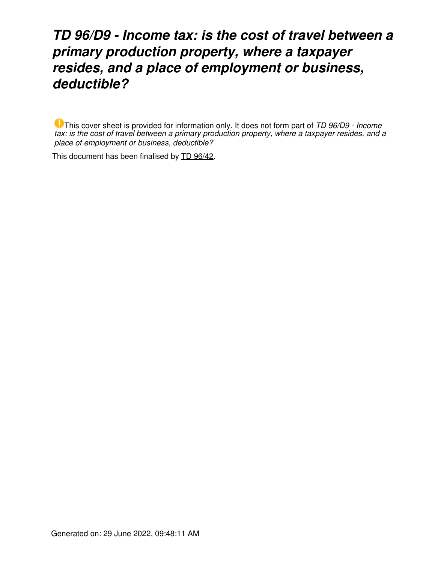## *TD 96/D9 - Income tax: is the cost of travel between a primary production property, where a taxpayer resides, and a place of employment or business, deductible?*

This cover sheet is provided for information only. It does not form part of *TD 96/D9 - Income tax: is the cost of travel between a primary production property, where a taxpayer resides, and a place of employment or business, deductible?*

This document has been finalised by [TD 96/42](https://www.ato.gov.au/law/view/document?LocID=%22TXD%2FTD9642%2FNAT%2FATO%22&PiT=20200806000001).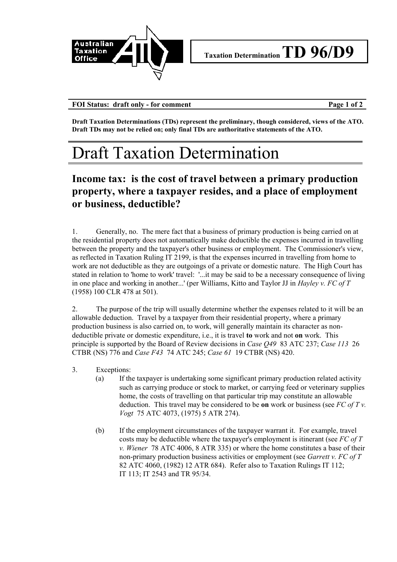

**FOI Status: draft only - for comment Page 1 of 2**

**Draft Taxation Determinations (TDs) represent the preliminary, though considered, views of the ATO. Draft TDs may not be relied on; only final TDs are authoritative statements of the ATO.**

## Draft Taxation Determination

## **Income tax: is the cost of travel between a primary production property, where a taxpayer resides, and a place of employment or business, deductible?**

1. Generally, no. The mere fact that a business of primary production is being carried on at the residential property does not automatically make deductible the expenses incurred in travelling between the property and the taxpayer's other business or employment. The Commissioner's view, as reflected in Taxation Ruling IT 2199, is that the expenses incurred in travelling from home to work are not deductible as they are outgoings of a private or domestic nature. The High Court has stated in relation to 'home to work' travel: '...it may be said to be a necessary consequence of living in one place and working in another...' (per Williams, Kitto and Taylor JJ in *Hayley v. FC of T* (1958) 100 CLR 478 at 501).

2. The purpose of the trip will usually determine whether the expenses related to it will be an allowable deduction. Travel by a taxpayer from their residential property, where a primary production business is also carried on, to work, will generally maintain its character as nondeductible private or domestic expenditure, i.e., it is travel **to** work and not **on** work. This principle is supported by the Board of Review decisions in *Case Q49* 83 ATC 237; *Case 113* 26 CTBR (NS) 776 and *Case F43* 74 ATC 245; *Case 61* 19 CTBR (NS) 420.

- 3. Exceptions:
	- (a) If the taxpayer is undertaking some significant primary production related activity such as carrying produce or stock to market, or carrying feed or veterinary supplies home, the costs of travelling on that particular trip may constitute an allowable deduction. This travel may be considered to be **on** work or business (see *FC of T v. Vogt* 75 ATC 4073, (1975) 5 ATR 274).
	- (b) If the employment circumstances of the taxpayer warrant it. For example, travel costs may be deductible where the taxpayer's employment is itinerant (see *FC of T v. Wiener* 78 ATC 4006, 8 ATR 335) or where the home constitutes a base of their non-primary production business activities or employment (see *Garrett v. FC of T* 82 ATC 4060, (1982) 12 ATR 684). Refer also to Taxation Rulings IT 112; IT 113; IT 2543 and TR 95/34.